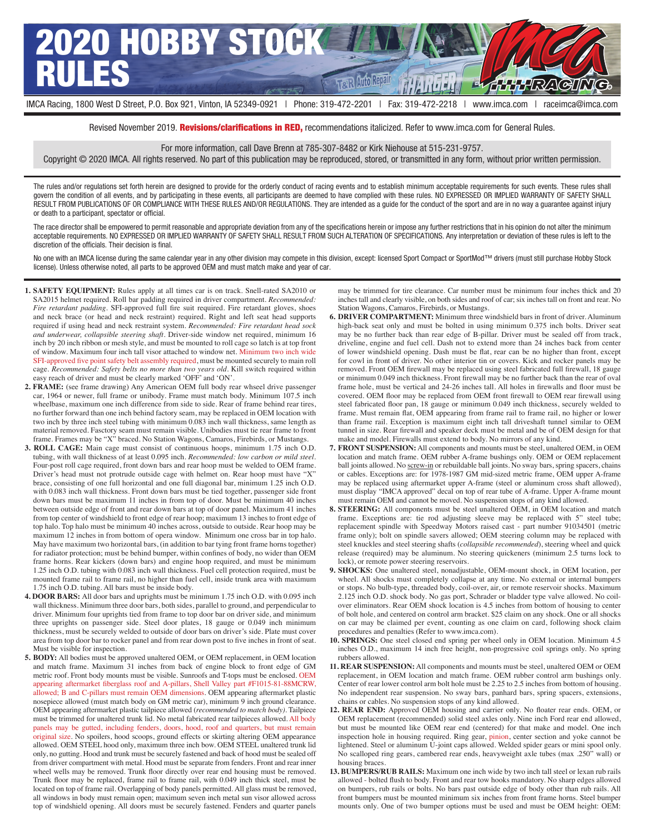

Revised November 2019. Revisions/clarifications in RED, recommendations italicized. Refer to www.imca.com for General Rules.

For more information, call Dave Brenn at 785-307-8482 or Kirk Niehouse at 515-231-9757.

Copyright © 2020 IMCA. All rights reserved. No part of this publication may be reproduced, stored, or transmitted in any form, without prior written permission.

The rules and/or regulations set forth herein are designed to provide for the orderly conduct of racing events and to establish minimum acceptable requirements for such events. These rules shall govern the condition of all events, and by participating in these events, all participants are deemed to have complied with these rules. NO EXPRESSED OR IMPLIED WARRANTY OF SAFETY SHALL RESULT FROM PUBLICATIONS OF OR COMPLIANCE WITH THESE RULES AND/OR REGULATIONS. They are intended as a guide for the conduct of the sport and are in no way a guarantee against injury or death to a participant, spectator or official.

The race director shall be empowered to permit reasonable and appropriate deviation from any of the specifications herein or impose any further restrictions that in his opinion do not alter the minimum acceptable requirements. NO EXPRESSED OR IMPLIED WARRANTY OF SAFETY SHALL RESULT FROM SUCH ALTERATION OF SPECIFICATIONS. Any interpretation or deviation of these rules is left to the discretion of the officials. Their decision is final.

No one with an IMCA license during the same calendar year in any other division may compete in this division, except: licensed Sport Compact or SportMod™ drivers (must still purchase Hobby Stock license). Unless otherwise noted, all parts to be approved OEM and must match make and year of car.

- **1. SAFETY EQUIPMENT:** Rules apply at all times car is on track. Snell-rated SA2010 or SA2015 helmet required. Roll bar padding required in driver compartment. *Recommended: Fire retardant padding*. SFI-approved full fire suit required. Fire retardant gloves, shoes and neck brace (or head and neck restraint) required. Right and left seat head supports required if using head and neck restraint system. *Recommended: Fire retardant head sock and underwear, collapsible steering shaft*. Driver-side window net required, minimum 16 inch by 20 inch ribbon or mesh style, and must be mounted to roll cage so latch is at top front of window. Maximum four inch tall visor attached to window net. Minimum two inch wide SFI-approved five point safety belt assembly required, must be mounted securely to main roll cage. *Recommended: Safety belts no more than two years old*. Kill switch required within easy reach of driver and must be clearly marked 'OFF' and 'ON'.
- **2. FRAME:** (see frame drawing) Any American OEM full body rear whseel drive passenger car, 1964 or newer, full frame or unibody. Frame must match body. Minimum 107.5 inch wheelbase, maximum one inch difference from side to side. Rear of frame behind rear tires, no further forward than one inch behind factory seam, may be replaced in OEM location with two inch by three inch steel tubing with minimum 0.083 inch wall thickness, same length as material removed. Fasctory seam must remain visible. Unibodies must tie rear frame to front frame. Frames may be "X" braced. No Station Wagons, Camaros, Firebirds, or Mustangs.
- **3. ROLL CAGE:** Main cage must consist of continuous hoops, minimum 1.75 inch O.D. tubing, with wall thickness of at least 0.095 inch. *Recommended: low carbon or mild steel*. Four-post roll cage required, front down bars and rear hoop must be welded to OEM frame. Driver's head must not protrude outside cage with helmet on. Rear hoop must have "X" brace, consisting of one full horizontal and one full diagonal bar, minimum 1.25 inch O.D. with 0.083 inch wall thickness. Front down bars must be tied together, passenger side front down bars must be maximum 11 inches in from top of door. Must be minimum 40 inches between outside edge of front and rear down bars at top of door panel. Maximum 41 inches from top center of windshield to front edge of rear hoop; maximum 13 inches to front edge of top halo. Top halo must be minimum 40 inches across, outside to outside. Rear hoop may be maximum 12 inches in from bottom of opera window. Minimum one cross bar in top halo. May have maximum two horizontal bars, (in addition to bar tying front frame horns together) for radiator protection; must be behind bumper, within confines of body, no wider than OEM frame horns. Rear kickers (down bars) and engine hoop required, and must be minimum 1.25 inch O.D. tubing with 0.083 inch wall thickness. Fuel cell protection required, must be mounted frame rail to frame rail, no higher than fuel cell, inside trunk area with maximum 1.75 inch O.D. tubing. All bars must be inside body.
- **4. DOOR BARS:** All door bars and uprights must be minimum 1.75 inch O.D. with 0.095 inch wall thickness. Minimum three door bars, both sides, parallel to ground, and perpendicular to driver. Minimum four uprights tied from frame to top door bar on driver side, and minimum three uprights on passenger side. Steel door plates, 18 gauge or 0.049 inch minimum thickness, must be securely welded to outside of door bars on driver's side. Plate must cover area from top door bar to rocker panel and from rear down post to five inches in front of seat. Must be visible for inspection.
- **5. BODY:** All bodies must be approved unaltered OEM, or OEM replacement, in OEM location and match frame. Maximum 31 inches from back of engine block to front edge of GM metric roof. Front body mounts must be visible. Sunroofs and T-tops must be enclosed. OEM appearing aftermarket fiberglass roof and A-pillars, Shell Valley part #F1015-81-88MCRW, allowed; B and C-pillars must remain OEM dimensions. OEM appearing aftermarket plastic nosepiece allowed (must match body on GM metric car), minimum 9 inch ground clearance. OEM appearing aftermarket plastic tailpiece allowed (*recommended to match body)*. Tailpiece must be trimmed for unaltered trunk lid. No metal fabricated rear tailpieces allowed. All body panels may be gutted, including fenders, doors, hood, roof and quarters, but must remain original size. No spoilers, hood scoops, ground effects or skirting altering OEM appearance allowed. OEM STEEL hood only, maximum three inch bow. OEM STEEL unaltered trunk lid only, no gutting. Hood and trunk must be securely fastened and back of hood must be sealed off from driver compartment with metal. Hood must be separate from fenders. Front and rear inner wheel wells may be removed. Trunk floor directly over rear end housing must be removed. Trunk floor may be replaced, frame rail to frame rail, with 0.049 inch thick steel, must be located on top of frame rail. Overlapping of body panels permitted. All glass must be removed, all windows in body must remain open; maximum seven inch metal sun visor allowed across top of windshield opening. All doors must be securely fastened. Fenders and quarter panels

may be trimmed for tire clearance. Car number must be minimum four inches thick and 20 inches tall and clearly visible, on both sides and roof of car; six inches tall on front and rear. No Station Wagons, Camaros, Firebirds, or Mustangs.

- **6. DRIVER COMPARTMENT:** Minimum three windshield bars in front of driver. Aluminum high-back seat only and must be bolted in using minimum 0.375 inch bolts. Driver seat may be no further back than rear edge of B-pillar. Driver must be sealed off from track, driveline, engine and fuel cell. Dash not to extend more than 24 inches back from center of lower windshield opening. Dash must be flat, rear can be no higher than front, except for cowl in front of driver. No other interior tin or covers. Kick and rocker panels may be removed. Front OEM firewall may be replaced using steel fabricated full firewall, 18 gauge or minimum 0.049 inch thickness. Front firewall may be no further back than the rear of oval frame hole, must be vertical and 24-26 inches tall. All holes in firewalls and floor must be covered. OEM floor may be replaced from OEM front firewall to OEM rear firewall using steel fabricated floor pan, 18 gauge or minimum 0.049 inch thickness, securely welded to frame. Must remain flat, OEM appearing from frame rail to frame rail, no higher or lower than frame rail. Exception is maximum eight inch tall driveshaft tunnel similar to OEM tunnel in size. Rear firewall and speaker deck must be metal and be of OEM design for that make and model. Firewalls must extend to body. No mirrors of any kind.
- **7. FRONT SUSPENSION:** All components and mounts must be steel, unaltered OEM, in OEM location and match frame. OEM rubber A-frame bushings only. OEM or OEM replacement ball joints allowed. No screw-in or rebuildable ball joints. No sway bars, spring spacers, chains or cables. Exceptions are: for 1978-1987 GM mid-sized metric frame, OEM upper A-frame may be replaced using aftermarket upper A-frame (steel or aluminum cross shaft allowed), must display "IMCA approved" decal on top of rear tube of A-frame. Upper A-frame mount must remain OEM and cannot be moved. No suspension stops of any kind allowed.
- **8. STEERING:** All components must be steel unaltered OEM, in OEM location and match frame. Exceptions are: tie rod adjusting sleeve may be replaced with 5" steel tube; replacement spindle with Speedway Motors raised cast - part number 91034501 (metric frame only); bolt on spindle savers allowed; OEM steering column may be replaced with steel knuckles and steel steering shafts (*collapsible recommended*), steering wheel and quick release (required) may be aluminum. No steering quickeners (minimum 2.5 turns lock to lock), or remote power steering reservoirs.
- **9. SHOCKS:** One unaltered steel, nonadjustable, OEM-mount shock, in OEM location, per wheel. All shocks must completely collapse at any time. No external or internal bumpers or stops. No bulb-type, threaded body, coil-over, air, or remote reservoir shocks. Maximum 2.125 inch O.D. shock body. No gas port, Schrader or bladder type valve allowed. No coilover eliminators. Rear OEM shock location is 4.5 inches from bottom of housing to center of bolt hole, and centered on control arm bracket. \$25 claim on any shock. One or all shocks on car may be claimed per event, counting as one claim on card, following shock claim procedures and penalties (Refer to www.imca.com).
- **10. SPRINGS:** One steel closed end spring per wheel only in OEM location. Minimum 4.5 inches O.D., maximum 14 inch free height, non-progressive coil springs only. No spring rubbers allowed.
- **11. REAR SUSPENSION:** All components and mounts must be steel, unaltered OEM or OEM replacement, in OEM location and match frame. OEM rubber control arm bushings only. Center of rear lower control arm bolt hole must be 2.25 to 2.5 inches from bottom of housing. No independent rear suspension. No sway bars, panhard bars, spring spacers, extensions, chains or cables. No suspension stops of any kind allowed.
- **12. REAR END:** Approved OEM housing and carrier only. No floater rear ends. OEM, or OEM replacement (recommended) solid steel axles only. Nine inch Ford rear end allowed, but must be mounted like OEM rear end (centered) for that make and model. One inch inspection hole in housing required. Ring gear, pinion, center section and yoke cannot be lightened. Steel or aluminum U-joint caps allowed. Welded spider gears or mini spool only. No scalloped ring gears, cambered rear ends, heavyweight axle tubes (max .250" wall) or housing braces.
- **13. BUMPERS/RUB RAILS:** Maximum one inch wide by two inch tall steel or lexan rub rails allowed - bolted flush to body. Front and rear tow hooks mandatory. No sharp edges allowed on bumpers, rub rails or bolts. No bars past outside edge of body other than rub rails. All front bumpers must be mounted minimum six inches from front frame horns. Steel bumper mounts only. One of two bumper options must be used and must be OEM height: OEM: